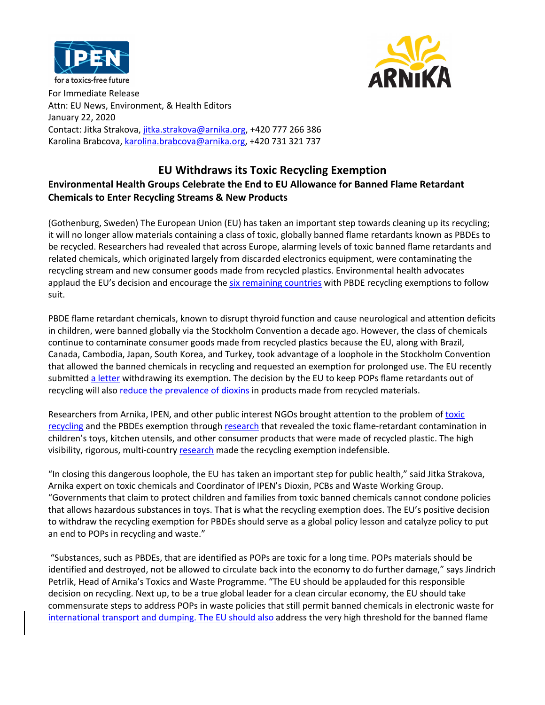



for a toxics-free future<br>For Immediate Release Attn: EU News, Environment, & Health Editors January 22, 2020 Contact: Jitka Strakova, jitka.strakova@arnika.org, +420 777 266 386 Karolina Brabcova, karolina.brabcova@arnika.org, +420 731 321 737

## **EU Withdraws its Toxic Recycling Exemption Environmental Health Groups Celebrate the End to EU Allowance for Banned Flame Retardant Chemicals to Enter Recycling Streams & New Products**

(Gothenburg, Sweden) The European Union (EU) has taken an important step towards cleaning up its recycling; it will no longer allow materials containing a class of toxic, globally banned flame retardants known as PBDEs to be recycled. Researchers had revealed that across Europe, alarming levels of toxic banned flame retardants and related chemicals, which originated largely from discarded electronics equipment, were contaminating the recycling stream and new consumer goods made from recycled plastics. Environmental health advocates applaud the EU's decision and encourage the six remaining countries with PBDE recycling exemptions to follow suit.

PBDE flame retardant chemicals, known to disrupt thyroid function and cause neurological and attention deficits in children, were banned globally via the Stockholm Convention a decade ago. However, the class of chemicals continue to contaminate consumer goods made from recycled plastics because the EU, along with Brazil, Canada, Cambodia, Japan, South Korea, and Turkey, took advantage of a loophole in the Stockholm Convention that allowed the banned chemicals in recycling and requested an exemption for prolonged use. The EU recently submitted a letter withdrawing its exemption. The decision by the EU to keep POPs flame retardants out of recycling will also reduce the prevalence of dioxins in products made from recycled materials.

Researchers from Arnika, IPEN, and other public interest NGOs brought attention to the problem of toxic recycling and the PBDEs exemption through research that revealed the toxic flame-retardant contamination in children's toys, kitchen utensils, and other consumer products that were made of recycled plastic. The high visibility, rigorous, multi-country research made the recycling exemption indefensible.

"In closing this dangerous loophole, the EU has taken an important step for public health," said Jitka Strakova, Arnika expert on toxic chemicals and Coordinator of IPEN's Dioxin, PCBs and Waste Working Group. "Governments that claim to protect children and families from toxic banned chemicals cannot condone policies that allows hazardous substances in toys. That is what the recycling exemption does. The EU's positive decision to withdraw the recycling exemption for PBDEs should serve as a global policy lesson and catalyze policy to put an end to POPs in recycling and waste."

"Substances, such as PBDEs, that are identified as POPs are toxic for a long time. POPs materials should be identified and destroyed, not be allowed to circulate back into the economy to do further damage," says Jindrich Petrlik, Head of Arnika's Toxics and Waste Programme. "The EU should be applauded for this responsible decision on recycling. Next up, to be a true global leader for a clean circular economy, the EU should take commensurate steps to address POPs in waste policies that still permit banned chemicals in electronic waste for international transport and dumping. The EU should also address the very high threshold for the banned flame